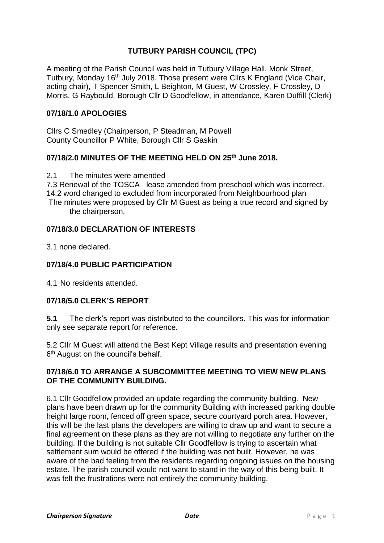# **TUTBURY PARISH COUNCIL (TPC)**

A meeting of the Parish Council was held in Tutbury Village Hall, Monk Street, Tutbury, Monday 16th July 2018. Those present were Cllrs K England (Vice Chair, acting chair), T Spencer Smith, L Beighton, M Guest, W Crossley, F Crossley, D Morris, G Raybould, Borough Cllr D Goodfellow, in attendance, Karen Duffill (Clerk)

## **07/18/1.0 APOLOGIES**

Cllrs C Smedley (Chairperson, P Steadman, M Powell County Councillor P White, Borough Cllr S Gaskin

#### **07/18/2.0 MINUTES OF THE MEETING HELD ON 25th June 2018.**

2.1 The minutes were amended

7.3 Renewal of the TOSCA lease amended from preschool which was incorrect. 14.2 word changed to excluded from incorporated from Neighbourhood plan

The minutes were proposed by Cllr M Guest as being a true record and signed by the chairperson.

#### **07/18/3.0 DECLARATION OF INTERESTS**

3.1 none declared.

#### **07/18/4.0 PUBLIC PARTICIPATION**

4.1 No residents attended.

#### **07/18/5.0 CLERK'S REPORT**

**5.1** The clerk's report was distributed to the councillors. This was for information only see separate report for reference.

5.2 Cllr M Guest will attend the Best Kept Village results and presentation evening 6<sup>th</sup> August on the council's behalf.

## **07/18/6.0 TO ARRANGE A SUBCOMMITTEE MEETING TO VIEW NEW PLANS OF THE COMMUNITY BUILDING.**

6.1 Cllr Goodfellow provided an update regarding the community building. New plans have been drawn up for the community Building with increased parking double height large room, fenced off green space, secure courtyard porch area. However, this will be the last plans the developers are willing to draw up and want to secure a final agreement on these plans as they are not willing to negotiate any further on the building. If the building is not suitable Cllr Goodfellow is trying to ascertain what settlement sum would be offered if the building was not built. However, he was aware of the bad feeling from the residents regarding ongoing issues on the housing estate. The parish council would not want to stand in the way of this being built. It was felt the frustrations were not entirely the community building.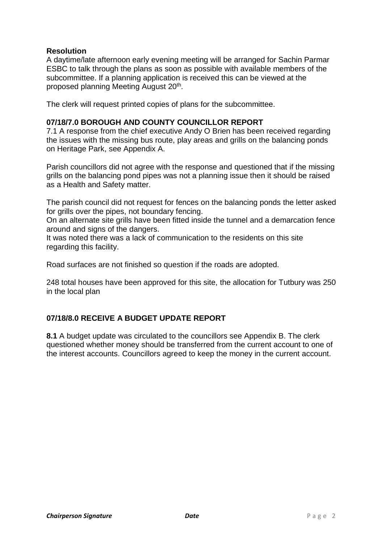## **Resolution**

A daytime/late afternoon early evening meeting will be arranged for Sachin Parmar ESBC to talk through the plans as soon as possible with available members of the subcommittee. If a planning application is received this can be viewed at the proposed planning Meeting August 20<sup>th</sup>.

The clerk will request printed copies of plans for the subcommittee.

#### **07/18/7.0 BOROUGH AND COUNTY COUNCILLOR REPORT**

7.1 A response from the chief executive Andy O Brien has been received regarding the issues with the missing bus route, play areas and grills on the balancing ponds on Heritage Park, see Appendix A.

Parish councillors did not agree with the response and questioned that if the missing grills on the balancing pond pipes was not a planning issue then it should be raised as a Health and Safety matter.

The parish council did not request for fences on the balancing ponds the letter asked for grills over the pipes, not boundary fencing.

On an alternate site grills have been fitted inside the tunnel and a demarcation fence around and signs of the dangers.

It was noted there was a lack of communication to the residents on this site regarding this facility.

Road surfaces are not finished so question if the roads are adopted.

248 total houses have been approved for this site, the allocation for Tutbury was 250 in the local plan

# **07/18/8.0 RECEIVE A BUDGET UPDATE REPORT**

**8.1** A budget update was circulated to the councillors see Appendix B. The clerk questioned whether money should be transferred from the current account to one of the interest accounts. Councillors agreed to keep the money in the current account.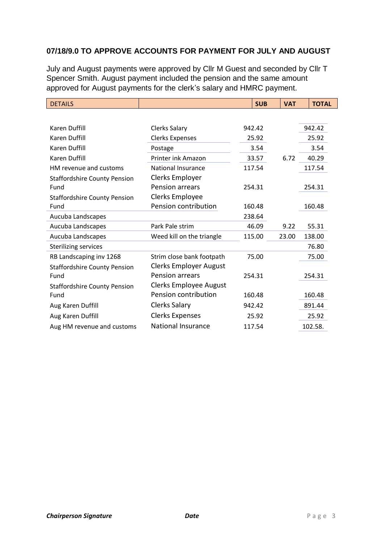# **07/18/9.0 TO APPROVE ACCOUNTS FOR PAYMENT FOR JULY AND AUGUST**

July and August payments were approved by Cllr M Guest and seconded by Cllr T Spencer Smith. August payment included the pension and the same amount approved for August payments for the clerk's salary and HMRC payment.

| <b>DETAILS</b>                      |                               | <b>SUB</b> | <b>VAT</b> | <b>TOTAL</b> |
|-------------------------------------|-------------------------------|------------|------------|--------------|
|                                     |                               |            |            |              |
| Karen Duffill                       | <b>Clerks Salary</b>          | 942.42     |            | 942.42       |
| <b>Karen Duffill</b>                | <b>Clerks Expenses</b>        | 25.92      |            | 25.92        |
| <b>Karen Duffill</b>                | Postage                       | 3.54       |            | 3.54         |
| <b>Karen Duffill</b>                | Printer ink Amazon            | 33.57      | 6.72       | 40.29        |
| HM revenue and customs              | <b>National Insurance</b>     | 117.54     |            | 117.54       |
| <b>Staffordshire County Pension</b> | Clerks Employer               |            |            |              |
| Fund                                | Pension arrears               | 254.31     |            | 254.31       |
| <b>Staffordshire County Pension</b> | Clerks Employee               |            |            |              |
| Fund                                | Pension contribution          | 160.48     |            | 160.48       |
| Aucuba Landscapes                   |                               | 238.64     |            |              |
| Aucuba Landscapes                   | Park Pale strim               | 46.09      | 9.22       | 55.31        |
| Aucuba Landscapes                   | Weed kill on the triangle     | 115.00     | 23.00      | 138.00       |
| <b>Sterilizing services</b>         |                               |            |            | 76.80        |
| RB Landscaping inv 1268             | Strim close bank footpath     | 75.00      |            | 75.00        |
| <b>Staffordshire County Pension</b> | <b>Clerks Employer August</b> |            |            |              |
| Fund                                | Pension arrears               | 254.31     |            | 254.31       |
| <b>Staffordshire County Pension</b> | <b>Clerks Employee August</b> |            |            |              |
| Fund                                | Pension contribution          | 160.48     |            | 160.48       |
| Aug Karen Duffill                   | <b>Clerks Salary</b>          | 942.42     |            | 891.44       |
| Aug Karen Duffill                   | <b>Clerks Expenses</b>        | 25.92      |            | 25.92        |
| Aug HM revenue and customs          | National Insurance            | 117.54     |            | 102.58.      |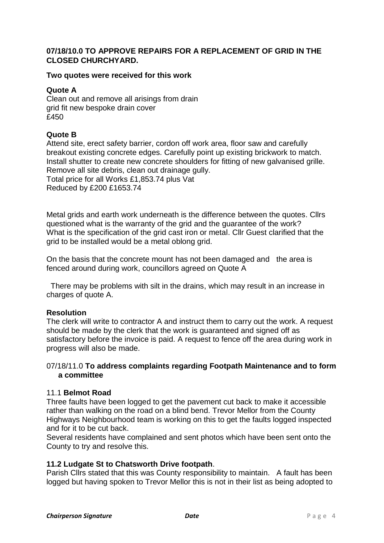# **07/18/10.0 TO APPROVE REPAIRS FOR A REPLACEMENT OF GRID IN THE CLOSED CHURCHYARD.**

#### **Two quotes were received for this work**

#### **Quote A**

Clean out and remove all arisings from drain grid fit new bespoke drain cover £450

#### **Quote B**

Attend site, erect safety barrier, cordon off work area, floor saw and carefully breakout existing concrete edges. Carefully point up existing brickwork to match. Install shutter to create new concrete shoulders for fitting of new galvanised grille. Remove all site debris, clean out drainage gully. Total price for all Works £1,853.74 plus Vat Reduced by £200 £1653.74

Metal grids and earth work underneath is the difference between the quotes. Cllrs questioned what is the warranty of the grid and the guarantee of the work? What is the specification of the grid cast iron or metal. Cllr Guest clarified that the grid to be installed would be a metal oblong grid.

On the basis that the concrete mount has not been damaged and the area is fenced around during work, councillors agreed on Quote A

There may be problems with silt in the drains, which may result in an increase in charges of quote A.

#### **Resolution**

The clerk will write to contractor A and instruct them to carry out the work. A request should be made by the clerk that the work is guaranteed and signed off as satisfactory before the invoice is paid. A request to fence off the area during work in progress will also be made.

#### 07/18/11.0 **To address complaints regarding Footpath Maintenance and to form a committee**

#### 11.1 **Belmot Road**

Three faults have been logged to get the pavement cut back to make it accessible rather than walking on the road on a blind bend. Trevor Mellor from the County Highways Neighbourhood team is working on this to get the faults logged inspected and for it to be cut back.

Several residents have complained and sent photos which have been sent onto the County to try and resolve this.

#### **11.2 Ludgate St to Chatsworth Drive footpath**.

Parish Cllrs stated that this was County responsibility to maintain. A fault has been logged but having spoken to Trevor Mellor this is not in their list as being adopted to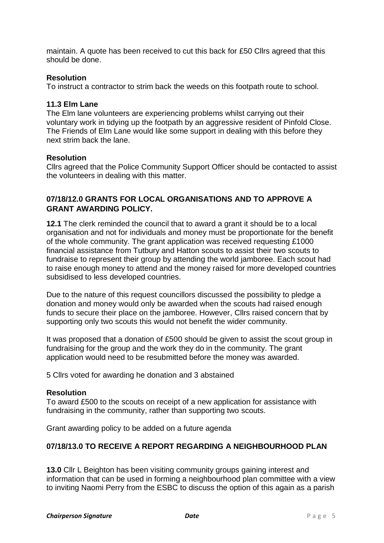maintain. A quote has been received to cut this back for £50 Cllrs agreed that this should be done.

#### **Resolution**

To instruct a contractor to strim back the weeds on this footpath route to school.

#### **11.3 Elm Lane**

The Elm lane volunteers are experiencing problems whilst carrying out their voluntary work in tidying up the footpath by an aggressive resident of Pinfold Close. The Friends of Elm Lane would like some support in dealing with this before they next strim back the lane.

#### **Resolution**

Cllrs agreed that the Police Community Support Officer should be contacted to assist the volunteers in dealing with this matter.

# **07/18/12.0 GRANTS FOR LOCAL ORGANISATIONS AND TO APPROVE A GRANT AWARDING POLICY.**

**12.1** The clerk reminded the council that to award a grant it should be to a local organisation and not for individuals and money must be proportionate for the benefit of the whole community. The grant application was received requesting £1000 financial assistance from Tutbury and Hatton scouts to assist their two scouts to fundraise to represent their group by attending the world jamboree. Each scout had to raise enough money to attend and the money raised for more developed countries subsidised to less developed countries.

Due to the nature of this request councillors discussed the possibility to pledge a donation and money would only be awarded when the scouts had raised enough funds to secure their place on the jamboree. However, Cllrs raised concern that by supporting only two scouts this would not benefit the wider community.

It was proposed that a donation of £500 should be given to assist the scout group in fundraising for the group and the work they do in the community. The grant application would need to be resubmitted before the money was awarded.

5 Cllrs voted for awarding he donation and 3 abstained

#### **Resolution**

To award £500 to the scouts on receipt of a new application for assistance with fundraising in the community, rather than supporting two scouts.

Grant awarding policy to be added on a future agenda

#### **07/18/13.0 TO RECEIVE A REPORT REGARDING A NEIGHBOURHOOD PLAN**

**13.0** Cllr L Beighton has been visiting community groups gaining interest and information that can be used in forming a neighbourhood plan committee with a view to inviting Naomi Perry from the ESBC to discuss the option of this again as a parish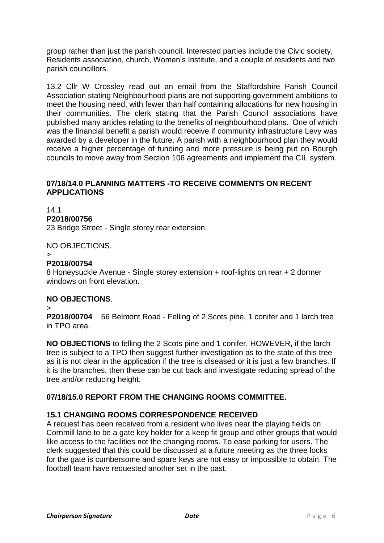group rather than just the parish council. Interested parties include the Civic society, Residents association, church, Women's Institute, and a couple of residents and two parish councillors.

13.2 Cllr W Crossley read out an email from the Staffordshire Parish Council Association stating Neighbourhood plans are not supporting government ambitions to meet the housing need, with fewer than half containing allocations for new housing in their communities. The clerk stating that the Parish Council associations have published many articles relating to the benefits of neighbourhood plans. One of which was the financial benefit a parish would receive if community infrastructure Levy was awarded by a developer in the future, A parish with a neighbourhood plan they would receive a higher percentage of funding and more pressure is being put on Bourgh councils to move away from Section 106 agreements and implement the CIL system.

#### **07/18/14.0 PLANNING MATTERS -TO RECEIVE COMMENTS ON RECENT APPLICATIONS**

14.1 **P2018/00756** 23 Bridge Street - Single storey rear extension.

NO OBJECTIONS.

>

#### **P2018/00754**

8 Honeysuckle Avenue - Single storey extension + roof-lights on rear + 2 dormer windows on front elevation.

#### **NO OBJECTIONS**.

> **P2018/00704** 56 Belmont Road - Felling of 2 Scots pine, 1 conifer and 1 larch tree in TPO area.

**NO OBJECTIONS** to felling the 2 Scots pine and 1 conifer. HOWEVER, if the larch tree is subject to a TPO then suggest further investigation as to the state of this tree as it is not clear in the application if the tree is diseased or it is just a few branches. If it is the branches, then these can be cut back and investigate reducing spread of the tree and/or reducing height.

# **07/18/15.0 REPORT FROM THE CHANGING ROOMS COMMITTEE.**

#### **15.1 CHANGING ROOMS CORRESPONDENCE RECEIVED**

A request has been received from a resident who lives near the playing fields on Cornmill lane to be a gate key holder for a keep fit group and other groups that would like access to the facilities not the changing rooms. To ease parking for users. The clerk suggested that this could be discussed at a future meeting as the three locks for the gate is cumbersome and spare keys are not easy or impossible to obtain. The football team have requested another set in the past.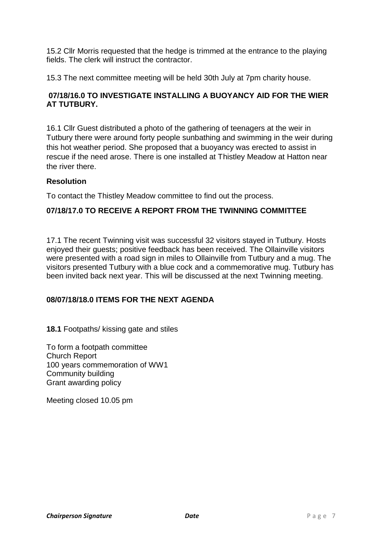15.2 Cllr Morris requested that the hedge is trimmed at the entrance to the playing fields. The clerk will instruct the contractor.

15.3 The next committee meeting will be held 30th July at 7pm charity house.

## **07/18/16.0 TO INVESTIGATE INSTALLING A BUOYANCY AID FOR THE WIER AT TUTBURY.**

16.1 Cllr Guest distributed a photo of the gathering of teenagers at the weir in Tutbury there were around forty people sunbathing and swimming in the weir during this hot weather period. She proposed that a buoyancy was erected to assist in rescue if the need arose. There is one installed at Thistley Meadow at Hatton near the river there.

#### **Resolution**

To contact the Thistley Meadow committee to find out the process.

## **07/18/17.0 TO RECEIVE A REPORT FROM THE TWINNING COMMITTEE**

17.1 The recent Twinning visit was successful 32 visitors stayed in Tutbury. Hosts enjoyed their guests; positive feedback has been received. The Ollainville visitors were presented with a road sign in miles to Ollainville from Tutbury and a mug. The visitors presented Tutbury with a blue cock and a commemorative mug. Tutbury has been invited back next year. This will be discussed at the next Twinning meeting.

#### **08/07/18/18.0 ITEMS FOR THE NEXT AGENDA**

**18.1** Footpaths/ kissing gate and stiles

To form a footpath committee Church Report 100 years commemoration of WW1 Community building Grant awarding policy

Meeting closed 10.05 pm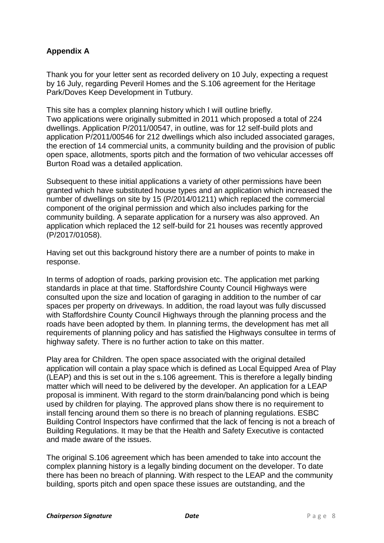# **Appendix A**

Thank you for your letter sent as recorded delivery on 10 July, expecting a request by 16 July, regarding Peveril Homes and the S.106 agreement for the Heritage Park/Doves Keep Development in Tutbury.

This site has a complex planning history which I will outline briefly. Two applications were originally submitted in 2011 which proposed a total of 224 dwellings. Application P/2011/00547, in outline, was for 12 self-build plots and application P/2011/00546 for 212 dwellings which also included associated garages, the erection of 14 commercial units, a community building and the provision of public open space, allotments, sports pitch and the formation of two vehicular accesses off Burton Road was a detailed application.

Subsequent to these initial applications a variety of other permissions have been granted which have substituted house types and an application which increased the number of dwellings on site by 15 (P/2014/01211) which replaced the commercial component of the original permission and which also includes parking for the community building. A separate application for a nursery was also approved. An application which replaced the 12 self-build for 21 houses was recently approved (P/2017/01058).

Having set out this background history there are a number of points to make in response.

In terms of adoption of roads, parking provision etc. The application met parking standards in place at that time. Staffordshire County Council Highways were consulted upon the size and location of garaging in addition to the number of car spaces per property on driveways. In addition, the road layout was fully discussed with Staffordshire County Council Highways through the planning process and the roads have been adopted by them. In planning terms, the development has met all requirements of planning policy and has satisfied the Highways consultee in terms of highway safety. There is no further action to take on this matter.

Play area for Children. The open space associated with the original detailed application will contain a play space which is defined as Local Equipped Area of Play (LEAP) and this is set out in the s.106 agreement. This is therefore a legally binding matter which will need to be delivered by the developer. An application for a LEAP proposal is imminent. With regard to the storm drain/balancing pond which is being used by children for playing. The approved plans show there is no requirement to install fencing around them so there is no breach of planning regulations. ESBC Building Control Inspectors have confirmed that the lack of fencing is not a breach of Building Regulations. It may be that the Health and Safety Executive is contacted and made aware of the issues.

The original S.106 agreement which has been amended to take into account the complex planning history is a legally binding document on the developer. To date there has been no breach of planning. With respect to the LEAP and the community building, sports pitch and open space these issues are outstanding, and the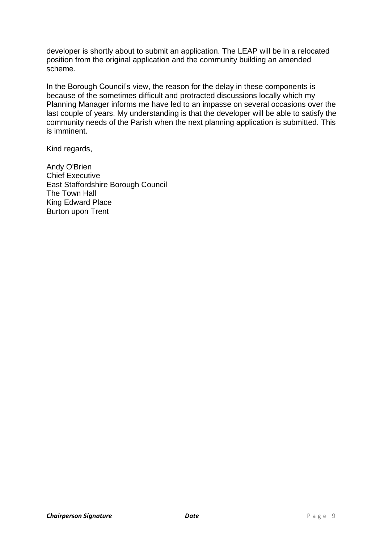developer is shortly about to submit an application. The LEAP will be in a relocated position from the original application and the community building an amended scheme.

In the Borough Council's view, the reason for the delay in these components is because of the sometimes difficult and protracted discussions locally which my Planning Manager informs me have led to an impasse on several occasions over the last couple of years. My understanding is that the developer will be able to satisfy the community needs of the Parish when the next planning application is submitted. This is imminent.

Kind regards,

Andy O'Brien Chief Executive East Staffordshire Borough Council The Town Hall King Edward Place Burton upon Trent